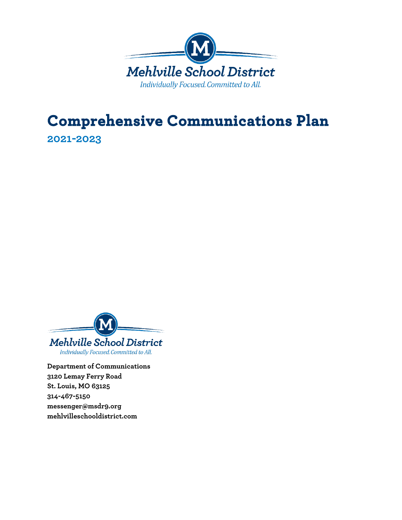

# **Comprehensive Communications Plan**

**2021-2023**



**Department of Communications 3120 Lemay Ferry Road St. Louis, MO 63125 314-467-5150 messenger@msdr9.org mehlvilleschooldistrict.com**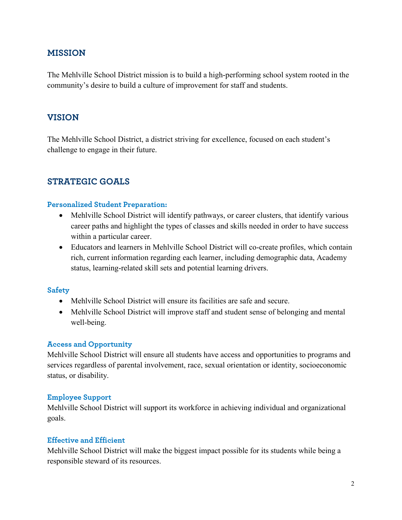#### **MISSION**

The Mehlville School District mission is to build a high-performing school system rooted in the community's desire to build a culture of improvement for staff and students.

#### **VISION**

The Mehlville School District, a district striving for excellence, focused on each student's challenge to engage in their future.

#### **STRATEGIC GOALS**

#### **Personalized Student Preparation:**

- Mehlville School District will identify pathways, or career clusters, that identify various career paths and highlight the types of classes and skills needed in order to have success within a particular career.
- Educators and learners in Mehlville School District will co-create profiles, which contain rich, current information regarding each learner, including demographic data, Academy status, learning-related skill sets and potential learning drivers.

#### **Safety**

- Mehlville School District will ensure its facilities are safe and secure.
- Mehlville School District will improve staff and student sense of belonging and mental well-being.

#### **Access and Opportunity**

Mehlville School District will ensure all students have access and opportunities to programs and services regardless of parental involvement, race, sexual orientation or identity, socioeconomic status, or disability.

#### **Employee Support**

Mehlville School District will support its workforce in achieving individual and organizational goals.

#### **Effective and Efficient**

Mehlville School District will make the biggest impact possible for its students while being a responsible steward of its resources.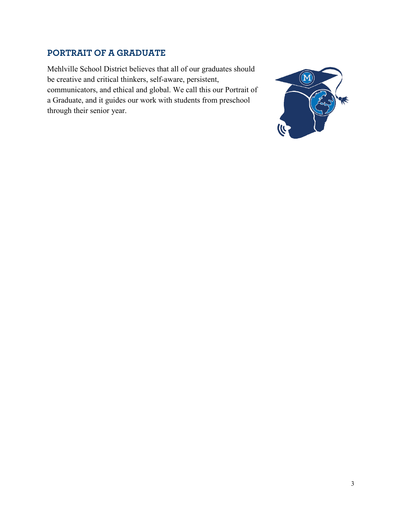#### **PORTRAIT OF A GRADUATE**

Mehlville School District believes that all of our graduates should be creative and critical thinkers, self-aware, persistent, communicators, and ethical and global. We call this our Portrait of a Graduate, and it guides our work with students from preschool through their senior year.

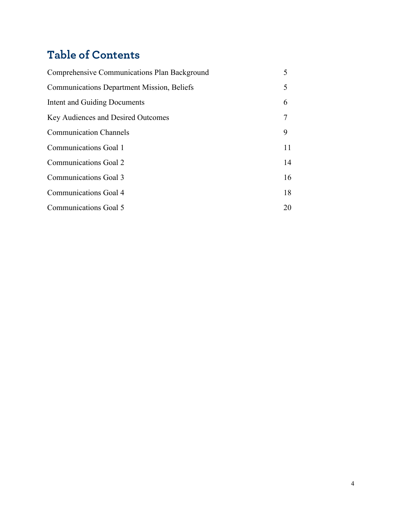## **Table of Contents**

| Comprehensive Communications Plan Background      | 5  |
|---------------------------------------------------|----|
| <b>Communications Department Mission, Beliefs</b> | 5  |
| Intent and Guiding Documents                      | 6  |
| Key Audiences and Desired Outcomes                | 7  |
| <b>Communication Channels</b>                     | 9  |
| Communications Goal 1                             | 11 |
| Communications Goal 2                             | 14 |
| Communications Goal 3                             | 16 |
| Communications Goal 4                             | 18 |
| Communications Goal 5                             | 20 |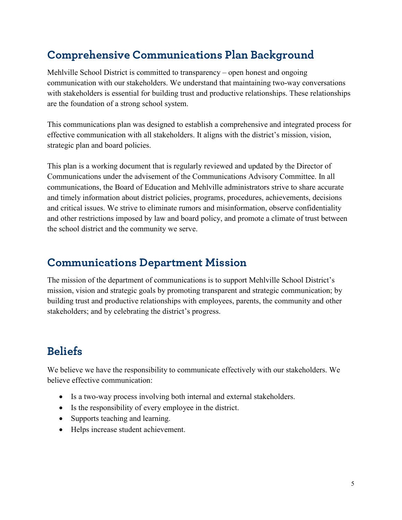### **Comprehensive Communications Plan Background**

Mehlville School District is committed to transparency – open honest and ongoing communication with our stakeholders. We understand that maintaining two-way conversations with stakeholders is essential for building trust and productive relationships. These relationships are the foundation of a strong school system.

This communications plan was designed to establish a comprehensive and integrated process for effective communication with all stakeholders. It aligns with the district's mission, vision, strategic plan and board policies.

This plan is a working document that is regularly reviewed and updated by the Director of Communications under the advisement of the Communications Advisory Committee. In all communications, the Board of Education and Mehlville administrators strive to share accurate and timely information about district policies, programs, procedures, achievements, decisions and critical issues. We strive to eliminate rumors and misinformation, observe confidentiality and other restrictions imposed by law and board policy, and promote a climate of trust between the school district and the community we serve.

### **Communications Department Mission**

The mission of the department of communications is to support Mehlville School District's mission, vision and strategic goals by promoting transparent and strategic communication; by building trust and productive relationships with employees, parents, the community and other stakeholders; and by celebrating the district's progress.

## **Beliefs**

We believe we have the responsibility to communicate effectively with our stakeholders. We believe effective communication:

- Is a two-way process involving both internal and external stakeholders.
- Is the responsibility of every employee in the district.
- Supports teaching and learning.
- Helps increase student achievement.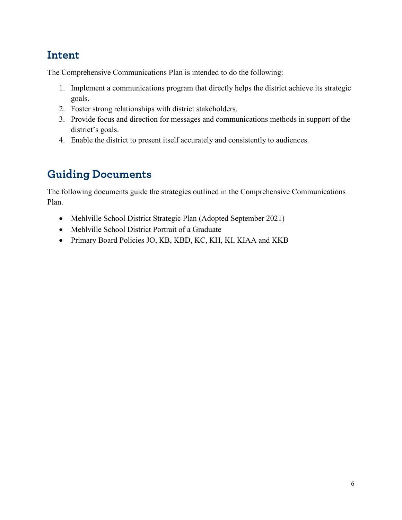### **Intent**

The Comprehensive Communications Plan is intended to do the following:

- 1. Implement a communications program that directly helps the district achieve its strategic goals.
- 2. Foster strong relationships with district stakeholders.
- 3. Provide focus and direction for messages and communications methods in support of the district's goals.
- 4. Enable the district to present itself accurately and consistently to audiences.

## **Guiding Documents**

The following documents guide the strategies outlined in the Comprehensive Communications Plan.

- [Mehlville School District Strategic Plan](http://mehlville.ss11.sharpschool.com/UserFiles/Servers/Server_125121/File/AboutUs/Strategic%20Plan%20Handout.pdf) (Adopted September 2021)
- [Mehlville School District Portrait of a Graduate](http://mehlville.ss11.sharpschool.com/UserFiles/Servers/Server_125121/File/2018-2019/Portrait%20of%20a%20Mehlville%20Graduate%20-%20ALL.pdf)
- Primary Board Policies JO, KB, KBD, KC, KH, KI, KIAA and KKB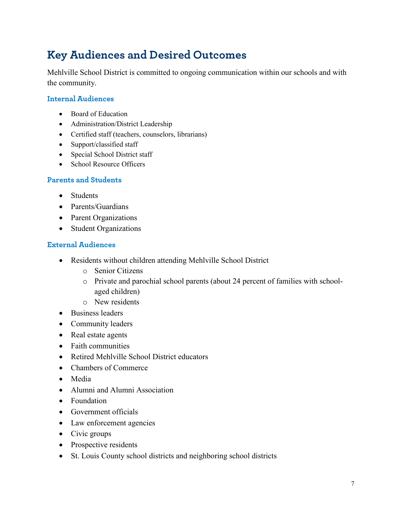## **Key Audiences and Desired Outcomes**

Mehlville School District is committed to ongoing communication within our schools and with the community.

#### **Internal Audiences**

- Board of Education
- Administration/District Leadership
- Certified staff (teachers, counselors, librarians)
- Support/classified staff
- Special School District staff
- School Resource Officers

#### **Parents and Students**

- Students
- Parents/Guardians
- Parent Organizations
- Student Organizations

#### **External Audiences**

- Residents without children attending Mehlville School District
	- o Senior Citizens
	- o Private and parochial school parents (about 24 percent of families with schoolaged children)
	- o New residents
- Business leaders
- Community leaders
- Real estate agents
- Faith communities
- Retired Mehlville School District educators
- Chambers of Commerce
- Media
- Alumni and Alumni Association
- Foundation
- Government officials
- Law enforcement agencies
- Civic groups
- Prospective residents
- St. Louis County school districts and neighboring school districts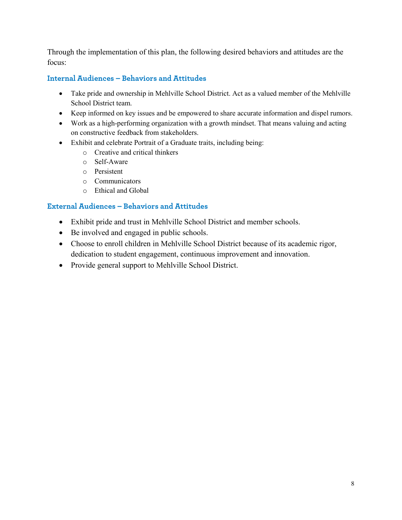Through the implementation of this plan, the following desired behaviors and attitudes are the focus:

#### **Internal Audiences – Behaviors and Attitudes**

- Take pride and ownership in Mehlville School District. Act as a valued member of the Mehlville School District team.
- Keep informed on key issues and be empowered to share accurate information and dispel rumors.
- Work as a high-performing organization with a growth mindset. That means valuing and acting on constructive feedback from stakeholders.
- Exhibit and celebrate Portrait of a Graduate traits, including being:
	- o Creative and critical thinkers
	- o Self-Aware
	- o Persistent
	- o Communicators
	- o Ethical and Global

#### **External Audiences – Behaviors and Attitudes**

- Exhibit pride and trust in Mehlville School District and member schools.
- Be involved and engaged in public schools.
- Choose to enroll children in Mehlville School District because of its academic rigor, dedication to student engagement, continuous improvement and innovation.
- Provide general support to Mehlville School District.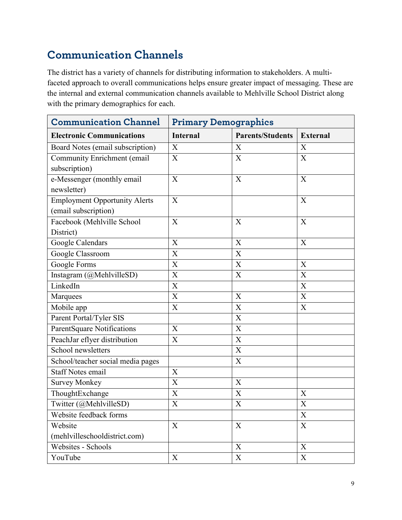## **Communication Channels**

The district has a variety of channels for distributing information to stakeholders. A multifaceted approach to overall communications helps ensure greater impact of messaging. These are the internal and external communication channels available to Mehlville School District along with the primary demographics for each.

| <b>Communication Channel</b>         | <b>Primary Demographics</b> |                           |                 |
|--------------------------------------|-----------------------------|---------------------------|-----------------|
| <b>Electronic Communications</b>     | <b>Internal</b>             | <b>Parents/Students</b>   | <b>External</b> |
| Board Notes (email subscription)     | X                           | X                         | X               |
| <b>Community Enrichment (email</b>   | X                           | X                         | X               |
| subscription)                        |                             |                           |                 |
| e-Messenger (monthly email           | X                           | X                         | X               |
| newsletter)                          |                             |                           |                 |
| <b>Employment Opportunity Alerts</b> | X                           |                           | X               |
| (email subscription)                 |                             |                           |                 |
| Facebook (Mehlville School           | $\overline{X}$              | X                         | X               |
| District)                            |                             |                           |                 |
| Google Calendars                     | X                           | X                         | X               |
| Google Classroom                     | X                           | X                         |                 |
| Google Forms                         | $\mathbf X$                 | X                         | X               |
| Instagram (@MehlvilleSD)             | $\mathbf X$                 | X                         | X               |
| LinkedIn                             | $\boldsymbol{\mathrm{X}}$   |                           | X               |
| Marquees                             | $\mathbf X$                 | X                         | X               |
| Mobile app                           | X                           | X                         | X               |
| Parent Portal/Tyler SIS              |                             | X                         |                 |
| <b>ParentSquare Notifications</b>    | X                           | X                         |                 |
| PeachJar eflyer distribution         | X                           | $\mathbf X$               |                 |
| School newsletters                   |                             | X                         |                 |
| School/teacher social media pages    |                             | X                         |                 |
| <b>Staff Notes email</b>             | X                           |                           |                 |
| <b>Survey Monkey</b>                 | $\mathbf X$                 | $\boldsymbol{X}$          |                 |
| ThoughtExchange                      | $\mathbf X$                 | $\mathbf X$               | X               |
| Twitter (@MehlvilleSD)               | $\boldsymbol{\mathrm{X}}$   | $\boldsymbol{\mathrm{X}}$ | X               |
| Website feedback forms               |                             |                           | X               |
| Website                              | X                           | X                         | X               |
| (mehlvilleschooldistrict.com)        |                             |                           |                 |
| Websites - Schools                   |                             | X                         | X               |
| YouTube                              | $\boldsymbol{\mathrm{X}}$   | $\mathbf X$               | $\mathbf X$     |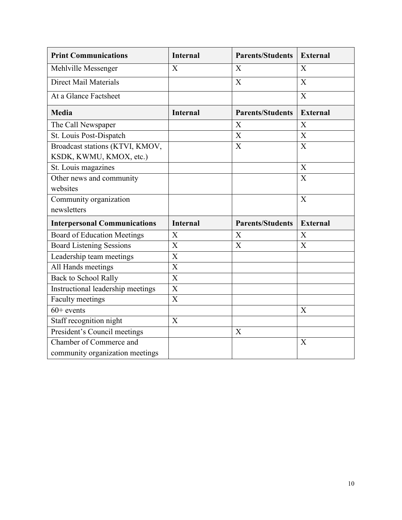| <b>Print Communications</b>         | <b>Internal</b>           | <b>Parents/Students</b> | <b>External</b>           |
|-------------------------------------|---------------------------|-------------------------|---------------------------|
| Mehlville Messenger                 | $\mathbf{X}$              | X                       | $\mathbf{X}$              |
| <b>Direct Mail Materials</b>        |                           | X                       | X                         |
| At a Glance Factsheet               |                           |                         | X                         |
| <b>Media</b>                        | <b>Internal</b>           | <b>Parents/Students</b> | <b>External</b>           |
| The Call Newspaper                  |                           | X                       | $\overline{X}$            |
| St. Louis Post-Dispatch             |                           | X                       | $\boldsymbol{\mathrm{X}}$ |
| Broadcast stations (KTVI, KMOV,     |                           | X                       | X                         |
| KSDK, KWMU, KMOX, etc.)             |                           |                         |                           |
| St. Louis magazines                 |                           |                         | $\mathbf X$               |
| Other news and community            |                           |                         | X                         |
| websites                            |                           |                         |                           |
| Community organization              |                           |                         | X                         |
| newsletters                         |                           |                         |                           |
| <b>Interpersonal Communications</b> | <b>Internal</b>           | <b>Parents/Students</b> | <b>External</b>           |
| <b>Board of Education Meetings</b>  | X                         | X                       | X                         |
| <b>Board Listening Sessions</b>     | X                         | X                       | X                         |
| Leadership team meetings            | $\boldsymbol{\mathrm{X}}$ |                         |                           |
| All Hands meetings                  | $\overline{X}$            |                         |                           |
| <b>Back to School Rally</b>         | X                         |                         |                           |
| Instructional leadership meetings   | $\overline{\text{X}}$     |                         |                           |
| Faculty meetings                    | X                         |                         |                           |
| $60+$ events                        |                           |                         | $\mathbf{X}$              |
| Staff recognition night             | X                         |                         |                           |
| President's Council meetings        |                           | X                       |                           |
| Chamber of Commerce and             |                           |                         | X                         |
| community organization meetings     |                           |                         |                           |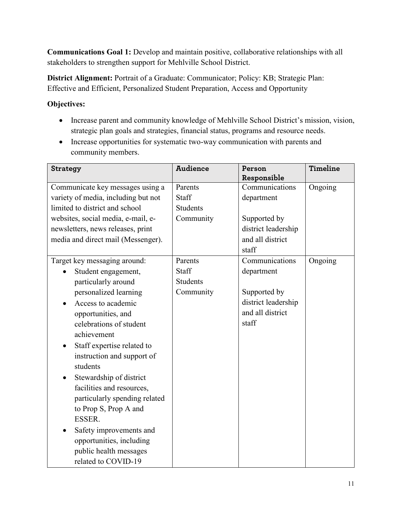**Communications Goal 1:** Develop and maintain positive, collaborative relationships with all stakeholders to strengthen support for Mehlville School District.

**District Alignment:** Portrait of a Graduate: Communicator; Policy: KB; Strategic Plan: Effective and Efficient, Personalized Student Preparation, Access and Opportunity

- Increase parent and community knowledge of Mehlville School District's mission, vision, strategic plan goals and strategies, financial status, programs and resource needs.
- Increase opportunities for systematic two-way communication with parents and community members.

| <b>Strategy</b>                         | <b>Audience</b> | Person              | Timeline |
|-----------------------------------------|-----------------|---------------------|----------|
|                                         |                 | Responsible         |          |
| Communicate key messages using a        | Parents         | Communications      | Ongoing  |
| variety of media, including but not     | Staff           | department          |          |
| limited to district and school          | <b>Students</b> |                     |          |
| websites, social media, e-mail, e-      | Community       | Supported by        |          |
| newsletters, news releases, print       |                 | district leadership |          |
| media and direct mail (Messenger).      |                 | and all district    |          |
|                                         |                 | staff               |          |
| Target key messaging around:            | Parents         | Communications      | Ongoing  |
| Student engagement,                     | <b>Staff</b>    | department          |          |
| particularly around                     | <b>Students</b> |                     |          |
| personalized learning                   | Community       | Supported by        |          |
| Access to academic                      |                 | district leadership |          |
| opportunities, and                      |                 | and all district    |          |
| celebrations of student                 |                 | staff               |          |
| achievement                             |                 |                     |          |
| Staff expertise related to<br>$\bullet$ |                 |                     |          |
| instruction and support of              |                 |                     |          |
| students                                |                 |                     |          |
| Stewardship of district<br>$\bullet$    |                 |                     |          |
| facilities and resources,               |                 |                     |          |
| particularly spending related           |                 |                     |          |
| to Prop S, Prop A and                   |                 |                     |          |
| ESSER.                                  |                 |                     |          |
| Safety improvements and                 |                 |                     |          |
| opportunities, including                |                 |                     |          |
| public health messages                  |                 |                     |          |
| related to COVID-19                     |                 |                     |          |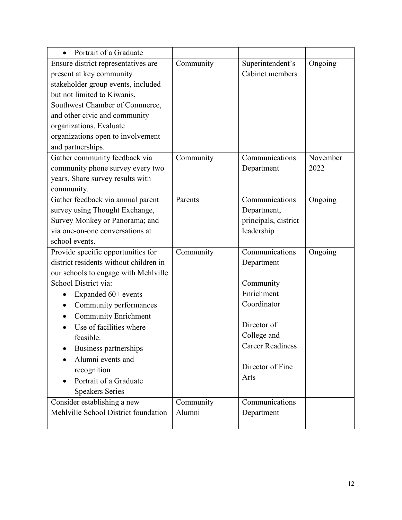| Portrait of a Graduate                 |           |                         |          |
|----------------------------------------|-----------|-------------------------|----------|
| Ensure district representatives are    | Community | Superintendent's        | Ongoing  |
| present at key community               |           | Cabinet members         |          |
| stakeholder group events, included     |           |                         |          |
| but not limited to Kiwanis,            |           |                         |          |
| Southwest Chamber of Commerce,         |           |                         |          |
| and other civic and community          |           |                         |          |
| organizations. Evaluate                |           |                         |          |
| organizations open to involvement      |           |                         |          |
| and partnerships.                      |           |                         |          |
| Gather community feedback via          | Community | Communications          | November |
| community phone survey every two       |           | Department              | 2022     |
| years. Share survey results with       |           |                         |          |
| community.                             |           |                         |          |
| Gather feedback via annual parent      | Parents   | Communications          | Ongoing  |
| survey using Thought Exchange,         |           | Department,             |          |
| Survey Monkey or Panorama; and         |           | principals, district    |          |
| via one-on-one conversations at        |           | leadership              |          |
| school events.                         |           |                         |          |
| Provide specific opportunities for     | Community | Communications          | Ongoing  |
| district residents without children in |           | Department              |          |
| our schools to engage with Mehlville   |           |                         |          |
| School District via:                   |           | Community               |          |
| Expanded 60+ events                    |           | Enrichment              |          |
| Community performances                 |           | Coordinator             |          |
| <b>Community Enrichment</b>            |           |                         |          |
| Use of facilities where                |           | Director of             |          |
| feasible.                              |           | College and             |          |
| Business partnerships                  |           | <b>Career Readiness</b> |          |
| Alumni events and                      |           |                         |          |
| recognition                            |           | Director of Fine        |          |
| Portrait of a Graduate                 |           | Arts                    |          |
| <b>Speakers Series</b>                 |           |                         |          |
| Consider establishing a new            | Community | Communications          |          |
| Mehlville School District foundation   | Alumni    | Department              |          |
|                                        |           |                         |          |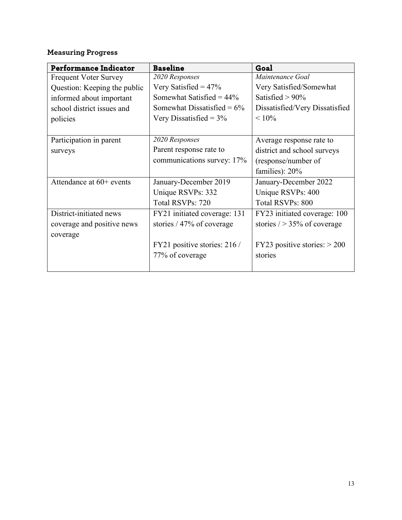| <b>Performance Indicator</b> | <b>Baseline</b>               | Goal                           |
|------------------------------|-------------------------------|--------------------------------|
| <b>Frequent Voter Survey</b> | 2020 Responses                | Maintenance Goal               |
| Question: Keeping the public | Very Satisfied = $47\%$       | Very Satisfied/Somewhat        |
| informed about important     | Somewhat Satisfied = $44\%$   | Satisfied $> 90\%$             |
| school district issues and   | Somewhat Dissatisfied = $6\%$ | Dissatisfied/Very Dissatisfied |
| policies                     | Very Dissatisfied = $3\%$     | $< 10\%$                       |
|                              |                               |                                |
| Participation in parent      | 2020 Responses                | Average response rate to       |
| surveys                      | Parent response rate to       | district and school surveys    |
|                              | communications survey: 17%    | (response/number of            |
|                              |                               | families): 20%                 |
| Attendance at $60+$ events   | January-December 2019         | January-December 2022          |
|                              | Unique RSVPs: 332             | Unique RSVPs: 400              |
|                              | Total RSVPs: 720              | Total RSVPs: 800               |
| District-initiated news      | FY21 initiated coverage: 131  | FY23 initiated coverage: 100   |
| coverage and positive news   | stories / 47% of coverage     | stories $/$ > 35% of coverage  |
| coverage                     |                               |                                |
|                              | FY21 positive stories: 216 /  | FY23 positive stories: $> 200$ |
|                              | 77% of coverage               | stories                        |
|                              |                               |                                |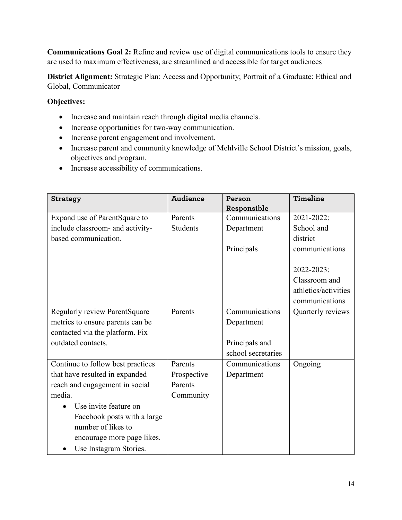**Communications Goal 2:** Refine and review use of digital communications tools to ensure they are used to maximum effectiveness, are streamlined and accessible for target audiences

**District Alignment:** Strategic Plan: Access and Opportunity; Portrait of a Graduate: Ethical and Global, Communicator

- Increase and maintain reach through digital media channels.
- Increase opportunities for two-way communication.
- Increase parent engagement and involvement.
- Increase parent and community knowledge of Mehlville School District's mission, goals, objectives and program.
- Increase accessibility of communications.

| <b>Strategy</b>                   | <b>Audience</b> | Person             | Timeline             |
|-----------------------------------|-----------------|--------------------|----------------------|
|                                   |                 | Responsible        |                      |
| Expand use of ParentSquare to     | Parents         | Communications     | 2021-2022:           |
| include classroom- and activity-  | <b>Students</b> | Department         | School and           |
| based communication.              |                 |                    | district             |
|                                   |                 | Principals         | communications       |
|                                   |                 |                    |                      |
|                                   |                 |                    | 2022-2023:           |
|                                   |                 |                    | Classroom and        |
|                                   |                 |                    | athletics/activities |
|                                   |                 |                    | communications       |
| Regularly review ParentSquare     | Parents         | Communications     | Quarterly reviews    |
| metrics to ensure parents can be  |                 | Department         |                      |
| contacted via the platform. Fix   |                 |                    |                      |
| outdated contacts.                |                 | Principals and     |                      |
|                                   |                 | school secretaries |                      |
| Continue to follow best practices | Parents         | Communications     | Ongoing              |
| that have resulted in expanded    | Prospective     | Department         |                      |
| reach and engagement in social    | Parents         |                    |                      |
| media.                            | Community       |                    |                      |
| Use invite feature on             |                 |                    |                      |
| Facebook posts with a large       |                 |                    |                      |
| number of likes to                |                 |                    |                      |
| encourage more page likes.        |                 |                    |                      |
| Use Instagram Stories.            |                 |                    |                      |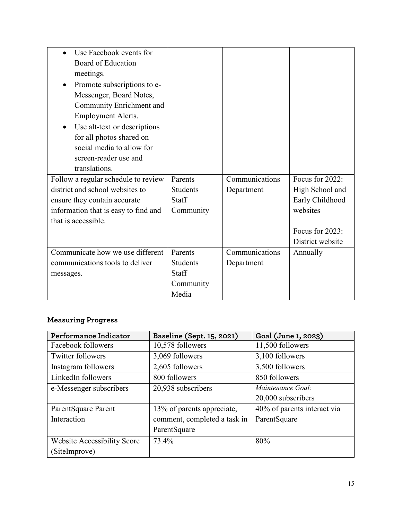| Use Facebook events for              |                 |                |                  |
|--------------------------------------|-----------------|----------------|------------------|
| Board of Education                   |                 |                |                  |
| meetings.                            |                 |                |                  |
| Promote subscriptions to e-          |                 |                |                  |
| Messenger, Board Notes,              |                 |                |                  |
| Community Enrichment and             |                 |                |                  |
| Employment Alerts.                   |                 |                |                  |
| Use alt-text or descriptions<br>٠    |                 |                |                  |
| for all photos shared on             |                 |                |                  |
| social media to allow for            |                 |                |                  |
| screen-reader use and                |                 |                |                  |
| translations.                        |                 |                |                  |
| Follow a regular schedule to review  | Parents         | Communications | Focus for 2022:  |
| district and school websites to      | <b>Students</b> | Department     | High School and  |
| ensure they contain accurate         | <b>Staff</b>    |                | Early Childhood  |
| information that is easy to find and | Community       |                | websites         |
| that is accessible.                  |                 |                |                  |
|                                      |                 |                | Focus for 2023:  |
|                                      |                 |                | District website |
| Communicate how we use different     | Parents         | Communications | Annually         |
| communications tools to deliver      | <b>Students</b> | Department     |                  |
| messages.                            | <b>Staff</b>    |                |                  |
|                                      | Community       |                |                  |
|                                      | Media           |                |                  |

| Performance Indicator              | Baseline (Sept. 15, 2021)    | Goal (June 1, 2023)         |
|------------------------------------|------------------------------|-----------------------------|
| Facebook followers                 | 10,578 followers             | 11,500 followers            |
| <b>Twitter followers</b>           | 3,069 followers              | 3,100 followers             |
| Instagram followers                | 2,605 followers              | 3,500 followers             |
| LinkedIn followers                 | 800 followers                | 850 followers               |
| e-Messenger subscribers            | 20,938 subscribers           | Maintenance Goal:           |
|                                    |                              | 20,000 subscribers          |
| ParentSquare Parent                | 13% of parents appreciate,   | 40% of parents interact via |
| Interaction                        | comment, completed a task in | ParentSquare                |
|                                    | ParentSquare                 |                             |
| <b>Website Accessibility Score</b> | 73.4%                        | 80%                         |
| (SiteImprove)                      |                              |                             |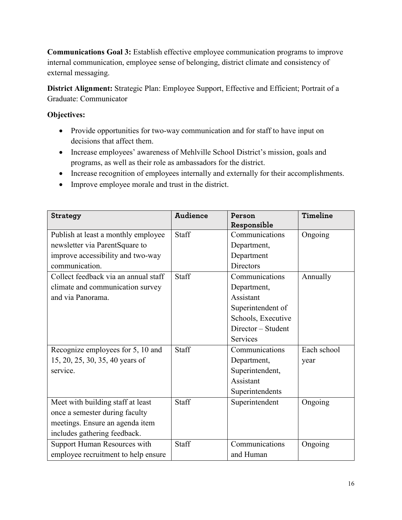**Communications Goal 3:** Establish effective employee communication programs to improve internal communication, employee sense of belonging, district climate and consistency of external messaging.

**District Alignment:** Strategic Plan: Employee Support, Effective and Efficient; Portrait of a Graduate: Communicator

- Provide opportunities for two-way communication and for staff to have input on decisions that affect them.
- Increase employees' awareness of Mehlville School District's mission, goals and programs, as well as their role as ambassadors for the district.
- Increase recognition of employees internally and externally for their accomplishments.
- Improve employee morale and trust in the district.

| <b>Strategy</b>                      | <b>Audience</b> | Person             | Timeline    |
|--------------------------------------|-----------------|--------------------|-------------|
|                                      |                 | Responsible        |             |
| Publish at least a monthly employee  | Staff           | Communications     | Ongoing     |
| newsletter via ParentSquare to       |                 | Department,        |             |
| improve accessibility and two-way    |                 | Department         |             |
| communication.                       |                 | <b>Directors</b>   |             |
| Collect feedback via an annual staff | <b>Staff</b>    | Communications     | Annually    |
| climate and communication survey     |                 | Department,        |             |
| and via Panorama.                    |                 | Assistant          |             |
|                                      |                 | Superintendent of  |             |
|                                      |                 | Schools, Executive |             |
|                                      |                 | Director – Student |             |
|                                      |                 | Services           |             |
| Recognize employees for 5, 10 and    | Staff           | Communications     | Each school |
| 15, 20, 25, 30, 35, 40 years of      |                 | Department,        | year        |
| service.                             |                 | Superintendent,    |             |
|                                      |                 | Assistant          |             |
|                                      |                 | Superintendents    |             |
| Meet with building staff at least    | Staff           | Superintendent     | Ongoing     |
| once a semester during faculty       |                 |                    |             |
| meetings. Ensure an agenda item      |                 |                    |             |
| includes gathering feedback.         |                 |                    |             |
| Support Human Resources with         | Staff           | Communications     | Ongoing     |
| employee recruitment to help ensure  |                 | and Human          |             |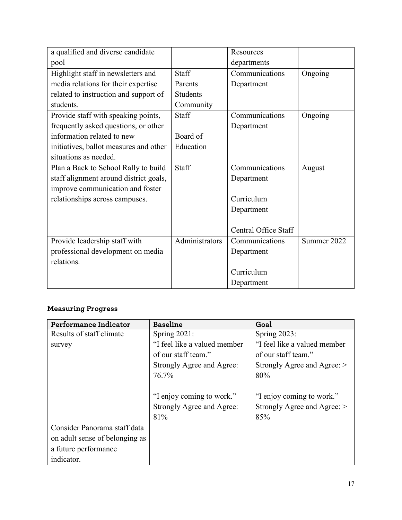| a qualified and diverse candidate      |                 | Resources            |             |
|----------------------------------------|-----------------|----------------------|-------------|
| pool                                   |                 | departments          |             |
| Highlight staff in newsletters and     | <b>Staff</b>    | Communications       | Ongoing     |
| media relations for their expertise    | Parents         | Department           |             |
| related to instruction and support of  | <b>Students</b> |                      |             |
| students.                              | Community       |                      |             |
| Provide staff with speaking points,    | Staff           | Communications       | Ongoing     |
| frequently asked questions, or other   |                 | Department           |             |
| information related to new             | Board of        |                      |             |
| initiatives, ballot measures and other | Education       |                      |             |
| situations as needed.                  |                 |                      |             |
| Plan a Back to School Rally to build   | Staff           | Communications       | August      |
| staff alignment around district goals, |                 | Department           |             |
| improve communication and foster       |                 |                      |             |
| relationships across campuses.         |                 | Curriculum           |             |
|                                        |                 | Department           |             |
|                                        |                 |                      |             |
|                                        |                 | Central Office Staff |             |
| Provide leadership staff with          | Administrators  | Communications       | Summer 2022 |
| professional development on media      |                 | Department           |             |
| relations.                             |                 |                      |             |
|                                        |                 | Curriculum           |             |
|                                        |                 | Department           |             |

| Performance Indicator          | <b>Baseline</b>              | Goal                         |
|--------------------------------|------------------------------|------------------------------|
| Results of staff climate       | Spring $2021$ :              | Spring 2023:                 |
| survey                         | "I feel like a valued member | "I feel like a valued member |
|                                | of our staff team."          | of our staff team."          |
|                                | Strongly Agree and Agree:    | Strongly Agree and Agree: >  |
|                                | 76.7%                        | 80%                          |
|                                |                              |                              |
|                                | "I enjoy coming to work."    | "I enjoy coming to work."    |
|                                | Strongly Agree and Agree:    | Strongly Agree and Agree: >  |
|                                | 81%                          | 85%                          |
| Consider Panorama staff data   |                              |                              |
| on adult sense of belonging as |                              |                              |
| a future performance           |                              |                              |
| indicator.                     |                              |                              |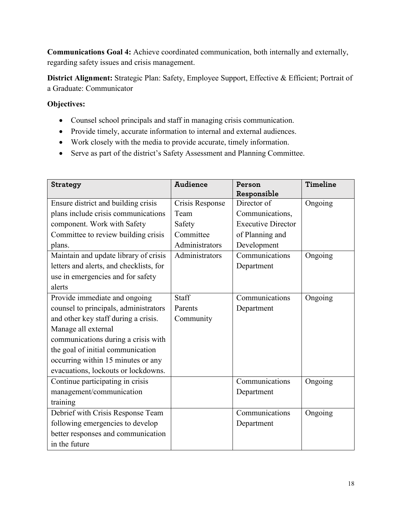**Communications Goal 4:** Achieve coordinated communication, both internally and externally, regarding safety issues and crisis management.

**District Alignment:** Strategic Plan: Safety, Employee Support, Effective & Efficient; Portrait of a Graduate: Communicator

- Counsel school principals and staff in managing crisis communication.
- Provide timely, accurate information to internal and external audiences.
- Work closely with the media to provide accurate, timely information.
- Serve as part of the district's Safety Assessment and Planning Committee.

| <b>Strategy</b>                         | <b>Audience</b> | Person<br>Responsible     | Timeline |
|-----------------------------------------|-----------------|---------------------------|----------|
| Ensure district and building crisis     | Crisis Response | Director of               | Ongoing  |
| plans include crisis communications     | Team            | Communications,           |          |
|                                         |                 |                           |          |
| component. Work with Safety             | Safety          | <b>Executive Director</b> |          |
| Committee to review building crisis     | Committee       | of Planning and           |          |
| plans.                                  | Administrators  | Development               |          |
| Maintain and update library of crisis   | Administrators  | Communications            | Ongoing  |
| letters and alerts, and checklists, for |                 | Department                |          |
| use in emergencies and for safety       |                 |                           |          |
| alerts                                  |                 |                           |          |
| Provide immediate and ongoing           | <b>Staff</b>    | Communications            | Ongoing  |
| counsel to principals, administrators   | Parents         | Department                |          |
| and other key staff during a crisis.    | Community       |                           |          |
| Manage all external                     |                 |                           |          |
| communications during a crisis with     |                 |                           |          |
| the goal of initial communication       |                 |                           |          |
| occurring within 15 minutes or any      |                 |                           |          |
| evacuations, lockouts or lockdowns.     |                 |                           |          |
| Continue participating in crisis        |                 | Communications            | Ongoing  |
| management/communication                |                 | Department                |          |
| training                                |                 |                           |          |
| Debrief with Crisis Response Team       |                 | Communications            | Ongoing  |
| following emergencies to develop        |                 | Department                |          |
| better responses and communication      |                 |                           |          |
| in the future                           |                 |                           |          |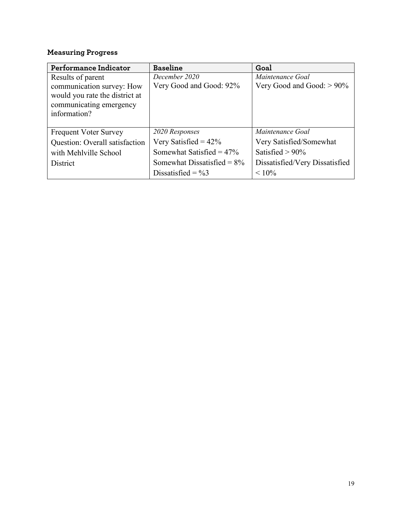| Performance Indicator          | <b>Baseline</b>               | Goal                           |
|--------------------------------|-------------------------------|--------------------------------|
| Results of parent              | December 2020                 | Maintenance Goal               |
| communication survey: How      | Very Good and Good: 92%       | Very Good and Good: $> 90\%$   |
| would you rate the district at |                               |                                |
| communicating emergency        |                               |                                |
| information?                   |                               |                                |
|                                |                               |                                |
| <b>Frequent Voter Survey</b>   | 2020 Responses                | Maintenance Goal               |
| Question: Overall satisfaction | Very Satisfied = $42\%$       | Very Satisfied/Somewhat        |
| with Mehlville School          | Somewhat Satisfied = $47\%$   | Satisfied $> 90\%$             |
| District                       | Somewhat Dissatisfied = $8\%$ | Dissatisfied/Very Dissatisfied |
|                                | Dissatisfied = $\%3$          | $< 10\%$                       |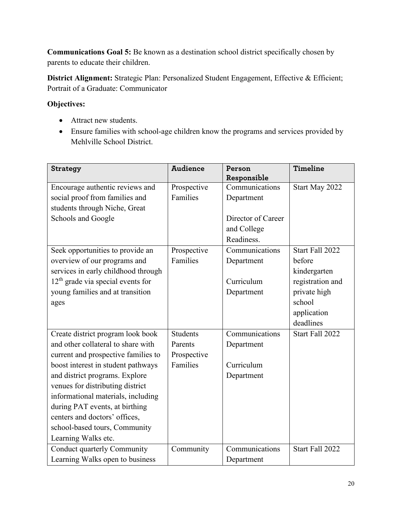**Communications Goal 5:** Be known as a destination school district specifically chosen by parents to educate their children.

**District Alignment:** Strategic Plan: Personalized Student Engagement, Effective & Efficient; Portrait of a Graduate: Communicator

- Attract new students.
- Ensure families with school-age children know the programs and services provided by Mehlville School District.

| <b>Strategy</b>                     | <b>Audience</b> | Person<br>Responsible | <b>Timeline</b>  |
|-------------------------------------|-----------------|-----------------------|------------------|
| Encourage authentic reviews and     | Prospective     | Communications        | Start May 2022   |
| social proof from families and      | Families        | Department            |                  |
| students through Niche, Great       |                 |                       |                  |
| Schools and Google                  |                 | Director of Career    |                  |
|                                     |                 | and College           |                  |
|                                     |                 | Readiness.            |                  |
| Seek opportunities to provide an    | Prospective     | Communications        | Start Fall 2022  |
| overview of our programs and        | Families        | Department            | before           |
| services in early childhood through |                 |                       | kindergarten     |
| $12th$ grade via special events for |                 | Curriculum            | registration and |
| young families and at transition    |                 | Department            | private high     |
| ages                                |                 |                       | school           |
|                                     |                 |                       | application      |
|                                     |                 |                       | deadlines        |
| Create district program look book   | <b>Students</b> | Communications        | Start Fall 2022  |
| and other collateral to share with  | Parents         | Department            |                  |
| current and prospective families to | Prospective     |                       |                  |
| boost interest in student pathways  | Families        | Curriculum            |                  |
| and district programs. Explore      |                 | Department            |                  |
| venues for distributing district    |                 |                       |                  |
| informational materials, including  |                 |                       |                  |
| during PAT events, at birthing      |                 |                       |                  |
| centers and doctors' offices,       |                 |                       |                  |
| school-based tours, Community       |                 |                       |                  |
| Learning Walks etc.                 |                 |                       |                  |
| Conduct quarterly Community         | Community       | Communications        | Start Fall 2022  |
| Learning Walks open to business     |                 | Department            |                  |